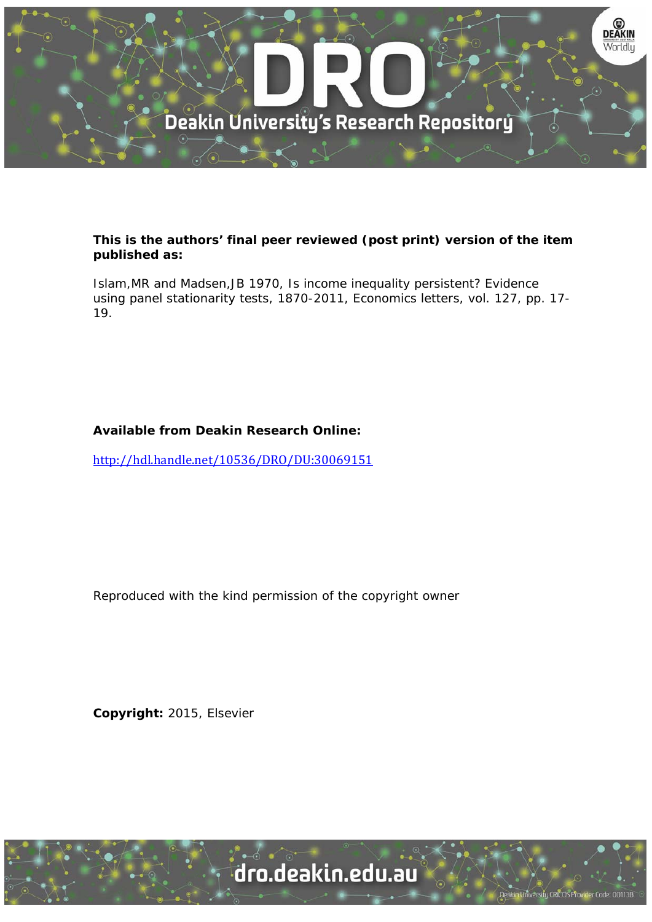

### **This is the authors' final peer reviewed (post print) version of the item published as:**

Islam,MR and Madsen,JB 1970, Is income inequality persistent? Evidence using panel stationarity tests, 1870-2011, Economics letters, vol. 127, pp. 17- 19.

# **Available from Deakin Research Online:**

http://hdl.handle.net/10536/DRO/DU:30069151

Reproduced with the kind permission of the copyright owner

**Copyright:** 2015, Elsevier

dro.deakin.edu.au

University CRICOS Provider Code: 00113B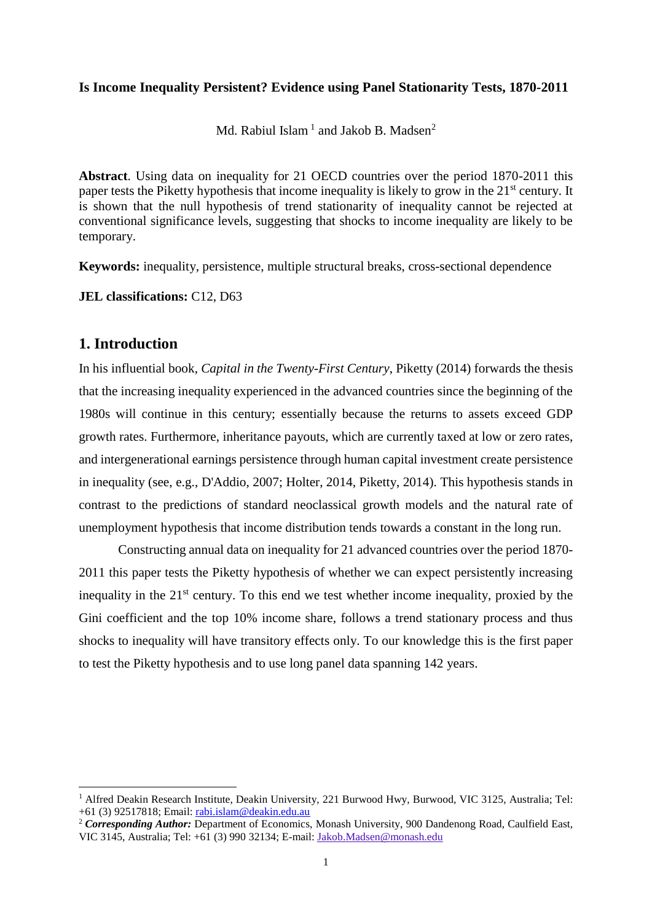#### **Is Income Inequality Persistent? Evidence using Panel Stationarity Tests, 1870-2011**

Md. Rabiul Islam<sup>1</sup> and Jakob B. Madsen<sup>2</sup>

**Abstract**. Using data on inequality for 21 OECD countries over the period 1870-2011 this paper tests the Piketty hypothesis that income inequality is likely to grow in the 21<sup>st</sup> century. It is shown that the null hypothesis of trend stationarity of inequality cannot be rejected at conventional significance levels, suggesting that shocks to income inequality are likely to be temporary.

**Keywords:** inequality, persistence, multiple structural breaks, cross-sectional dependence

**JEL classifications:** C12, D63

## **1. Introduction**

**.** 

In his influential book, *Capital in the Twenty-First Century*, Piketty (2014) forwards the thesis that the increasing inequality experienced in the advanced countries since the beginning of the 1980s will continue in this century; essentially because the returns to assets exceed GDP growth rates. Furthermore, inheritance payouts, which are currently taxed at low or zero rates, and intergenerational earnings persistence through human capital investment create persistence in inequality (see, e.g., D'Addio, 2007; Holter, 2014, Piketty, 2014). This hypothesis stands in contrast to the predictions of standard neoclassical growth models and the natural rate of unemployment hypothesis that income distribution tends towards a constant in the long run.

Constructing annual data on inequality for 21 advanced countries over the period 1870- 2011 this paper tests the Piketty hypothesis of whether we can expect persistently increasing inequality in the 21<sup>st</sup> century. To this end we test whether income inequality, proxied by the Gini coefficient and the top 10% income share, follows a trend stationary process and thus shocks to inequality will have transitory effects only. To our knowledge this is the first paper to test the Piketty hypothesis and to use long panel data spanning 142 years.

<sup>&</sup>lt;sup>1</sup> Alfred Deakin Research Institute, Deakin University, 221 Burwood Hwy, Burwood, VIC 3125, Australia; Tel: +61 (3) 92517818; Email[: rabi.islam@deakin.edu.au](mailto:rabi.islam@deakin.edu.au)

<sup>2</sup> *Corresponding Author:* Department of Economics, Monash University, 900 Dandenong Road, Caulfield East, VIC 3145, Australia; Tel: +61 (3) 990 32134; E-mail: [Jakob.Madsen@monash.edu](mailto:Jakob.Madsen@monash.edu)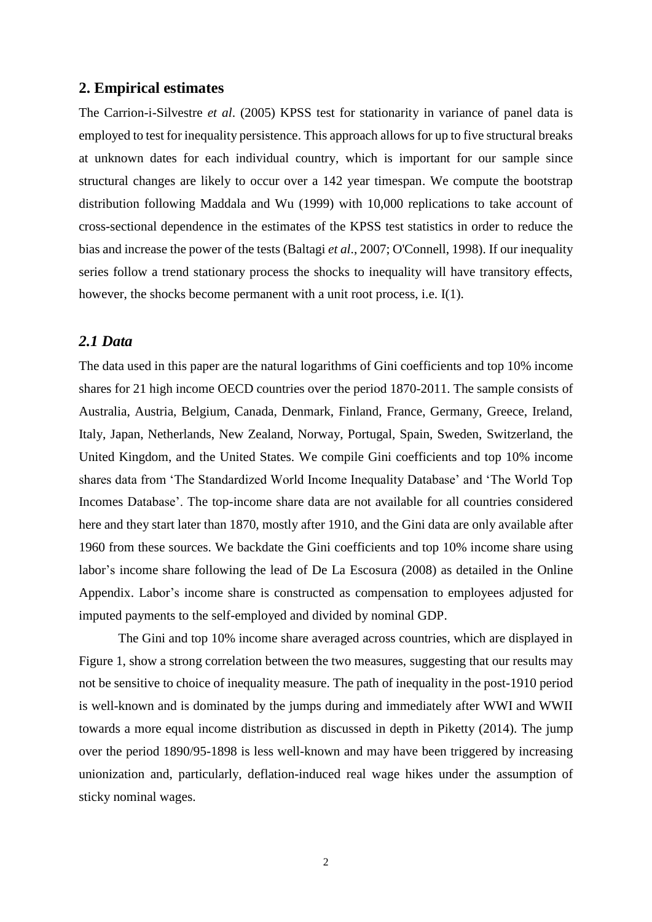#### **2. Empirical estimates**

The Carrion-i-Silvestre *et al*. (2005) KPSS test for stationarity in variance of panel data is employed to test for inequality persistence. This approach allows for up to five structural breaks at unknown dates for each individual country, which is important for our sample since structural changes are likely to occur over a 142 year timespan. We compute the bootstrap distribution following Maddala and Wu (1999) with 10,000 replications to take account of cross-sectional dependence in the estimates of the KPSS test statistics in order to reduce the bias and increase the power of the tests (Baltagi *et al*., 2007; O'Connell, 1998). If our inequality series follow a trend stationary process the shocks to inequality will have transitory effects, however, the shocks become permanent with a unit root process, i.e. I(1).

## *2.1 Data*

The data used in this paper are the natural logarithms of Gini coefficients and top 10% income shares for 21 high income OECD countries over the period 1870-2011. The sample consists of Australia, Austria, Belgium, Canada, Denmark, Finland, France, Germany, Greece, Ireland, Italy, Japan, Netherlands, New Zealand, Norway, Portugal, Spain, Sweden, Switzerland, the United Kingdom, and the United States. We compile Gini coefficients and top 10% income shares data from 'The Standardized World Income Inequality Database' and 'The World Top Incomes Database'. The top-income share data are not available for all countries considered here and they start later than 1870, mostly after 1910, and the Gini data are only available after 1960 from these sources. We backdate the Gini coefficients and top 10% income share using labor's income share following the lead of De La Escosura (2008) as detailed in the Online Appendix. Labor's income share is constructed as compensation to employees adjusted for imputed payments to the self-employed and divided by nominal GDP.

The Gini and top 10% income share averaged across countries, which are displayed in Figure 1, show a strong correlation between the two measures, suggesting that our results may not be sensitive to choice of inequality measure. The path of inequality in the post-1910 period is well-known and is dominated by the jumps during and immediately after WWI and WWII towards a more equal income distribution as discussed in depth in Piketty (2014). The jump over the period 1890/95-1898 is less well-known and may have been triggered by increasing unionization and, particularly, deflation-induced real wage hikes under the assumption of sticky nominal wages.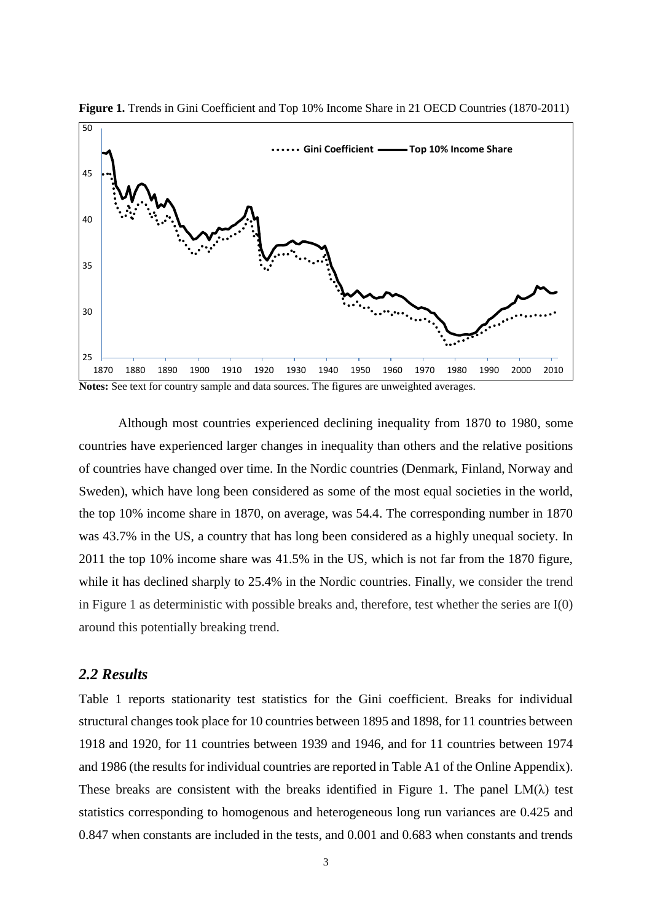

**Figure 1.** Trends in Gini Coefficient and Top 10% Income Share in 21 OECD Countries (1870-2011)

**Notes:** See text for country sample and data sources. The figures are unweighted averages.

Although most countries experienced declining inequality from 1870 to 1980, some countries have experienced larger changes in inequality than others and the relative positions of countries have changed over time. In the Nordic countries (Denmark, Finland, Norway and Sweden), which have long been considered as some of the most equal societies in the world, the top 10% income share in 1870, on average, was 54.4. The corresponding number in 1870 was 43.7% in the US, a country that has long been considered as a highly unequal society. In 2011 the top 10% income share was 41.5% in the US, which is not far from the 1870 figure, while it has declined sharply to 25.4% in the Nordic countries. Finally, we consider the trend in Figure 1 as deterministic with possible breaks and, therefore, test whether the series are I(0) around this potentially breaking trend.

#### *2.2 Results*

Table 1 reports stationarity test statistics for the Gini coefficient. Breaks for individual structural changes took place for 10 countries between 1895 and 1898, for 11 countries between 1918 and 1920, for 11 countries between 1939 and 1946, and for 11 countries between 1974 and 1986 (the results for individual countries are reported in Table A1 of the Online Appendix). These breaks are consistent with the breaks identified in Figure 1. The panel  $LM(\lambda)$  test statistics corresponding to homogenous and heterogeneous long run variances are 0.425 and 0.847 when constants are included in the tests, and 0.001 and 0.683 when constants and trends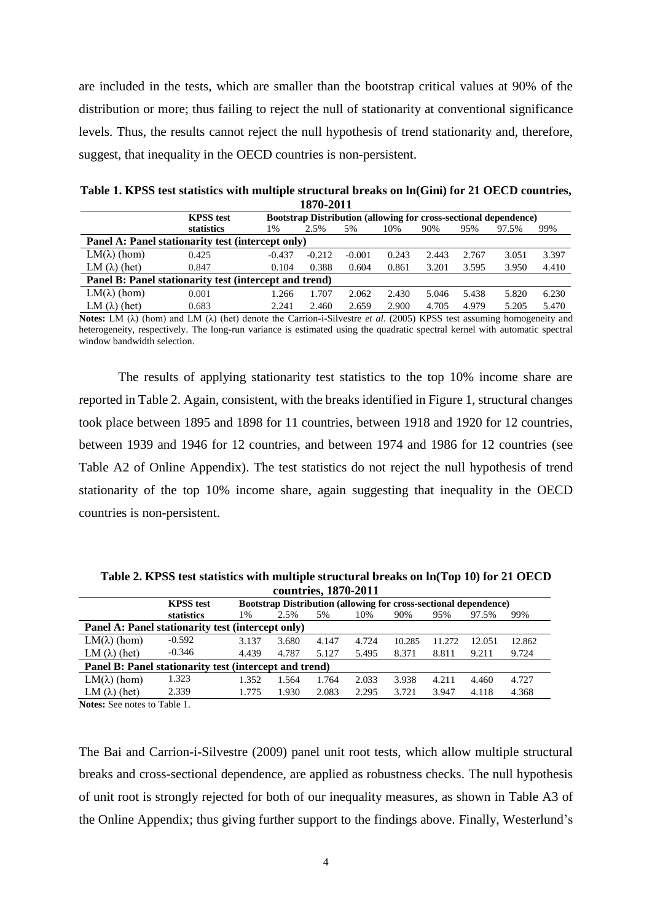are included in the tests, which are smaller than the bootstrap critical values at 90% of the distribution or more; thus failing to reject the null of stationarity at conventional significance levels. Thus, the results cannot reject the null hypothesis of trend stationarity and, therefore, suggest, that inequality in the OECD countries is non-persistent.

**Table 1. KPSS test statistics with multiple structural breaks on ln(Gini) for 21 OECD countries, 1870-2011**

|                                                        | <b>KPSS</b> test | <b>Bootstrap Distribution (allowing for cross-sectional dependence)</b> |          |          |       |       |       |       |       |  |  |
|--------------------------------------------------------|------------------|-------------------------------------------------------------------------|----------|----------|-------|-------|-------|-------|-------|--|--|
|                                                        | statistics       | 1%                                                                      | 2.5%     | 5%       | 10%   | 90%   | 95%   | 97.5% | 99%   |  |  |
| Panel A: Panel stationarity test (intercept only)      |                  |                                                                         |          |          |       |       |       |       |       |  |  |
| $LM(\lambda)$ (hom)                                    | 0.425            | $-0.437$                                                                | $-0.212$ | $-0.001$ | 0.243 | 2.443 | 2.767 | 3.051 | 3.397 |  |  |
| LM $(\lambda)$ (het)                                   | 0.847            | 0.104                                                                   | 0.388    | 0.604    | 0.861 | 3.201 | 3.595 | 3.950 | 4.410 |  |  |
| Panel B: Panel stationarity test (intercept and trend) |                  |                                                                         |          |          |       |       |       |       |       |  |  |
| $LM(\lambda)$ (hom)                                    | 0.001            | 1.266                                                                   | 1.707    | 2.062    | 2.430 | 5.046 | 5.438 | 5.820 | 6.230 |  |  |
| LM $(\lambda)$ (het)                                   | 0.683            | 2.241                                                                   | 2.460    | 2.659    | 2.900 | 4.705 | 4.979 | 5.205 | 5.470 |  |  |

**Notes:** LM (λ) (hom) and LM (λ) (het) denote the Carrion-i-Silvestre *et al*. (2005) KPSS test assuming homogeneity and heterogeneity, respectively. The long-run variance is estimated using the quadratic spectral kernel with automatic spectral window bandwidth selection.

The results of applying stationarity test statistics to the top 10% income share are reported in Table 2. Again, consistent, with the breaks identified in Figure 1, structural changes took place between 1895 and 1898 for 11 countries, between 1918 and 1920 for 12 countries, between 1939 and 1946 for 12 countries, and between 1974 and 1986 for 12 countries (see Table A2 of Online Appendix). The test statistics do not reject the null hypothesis of trend stationarity of the top 10% income share, again suggesting that inequality in the OECD countries is non-persistent.

**Table 2. KPSS test statistics with multiple structural breaks on ln(Top 10) for 21 OECD countries, 1870-2011**

|                                                        |                  |                                                                         |       | $\frac{1}{2}$ |       |        |        |        |        |  |  |
|--------------------------------------------------------|------------------|-------------------------------------------------------------------------|-------|---------------|-------|--------|--------|--------|--------|--|--|
|                                                        | <b>KPSS</b> test | <b>Bootstrap Distribution (allowing for cross-sectional dependence)</b> |       |               |       |        |        |        |        |  |  |
|                                                        | statistics       | 1%                                                                      | 2.5%  | 5%            | 10%   | 90%    | 95%    | 97.5%  | 99%    |  |  |
| Panel A: Panel stationarity test (intercept only)      |                  |                                                                         |       |               |       |        |        |        |        |  |  |
| LM( $\lambda$ ) (hom)                                  | $-0.592$         | 3.137                                                                   | 3.680 | 4.147         | 4.724 | 10.285 | 11.272 | 12.051 | 12.862 |  |  |
| LM $(\lambda)$ (het)                                   | $-0.346$         | 4.439                                                                   | 4.787 | 5.127         | 5.495 | 8.371  | 8.811  | 9.211  | 9.724  |  |  |
| Panel B: Panel stationarity test (intercept and trend) |                  |                                                                         |       |               |       |        |        |        |        |  |  |
| $LM(\lambda)$ (hom)                                    | 1.323            | 1.352                                                                   | 1.564 | 1.764         | 2.033 | 3.938  | 4.211  | 4.460  | 4.727  |  |  |
| LM $(\lambda)$ (het)                                   | 2.339            | 1.775                                                                   | 1.930 | 2.083         | 2.295 | 3.721  | 3.947  | 4.118  | 4.368  |  |  |
|                                                        |                  |                                                                         |       |               |       |        |        |        |        |  |  |

**Notes:** See notes to Table 1.

The Bai and Carrion-i-Silvestre (2009) panel unit root tests, which allow multiple structural breaks and cross-sectional dependence, are applied as robustness checks. The null hypothesis of unit root is strongly rejected for both of our inequality measures, as shown in Table A3 of the Online Appendix; thus giving further support to the findings above. Finally, Westerlund's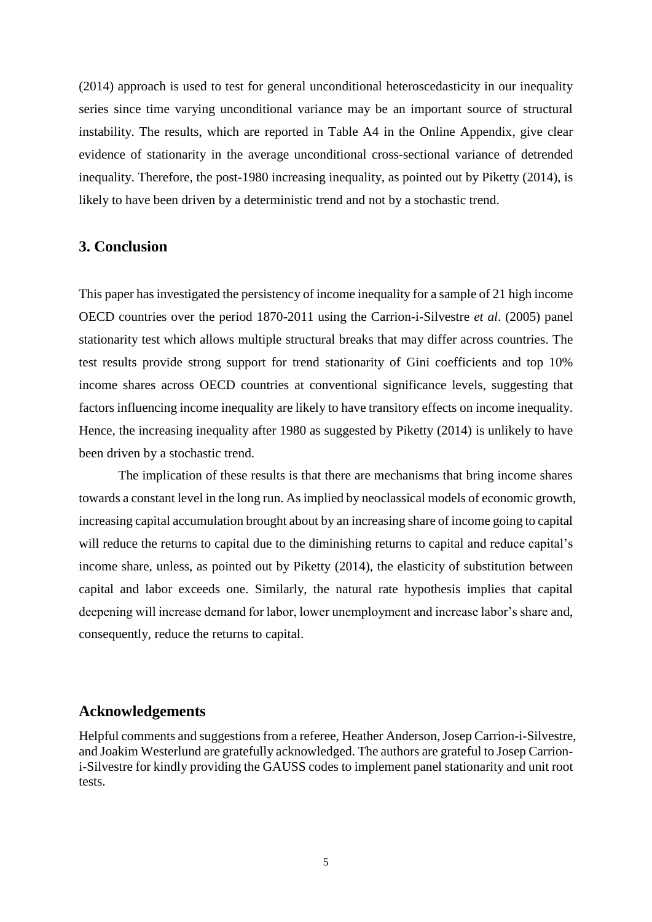(2014) approach is used to test for general unconditional heteroscedasticity in our inequality series since time varying unconditional variance may be an important source of structural instability. The results, which are reported in Table A4 in the Online Appendix, give clear evidence of stationarity in the average unconditional cross-sectional variance of detrended inequality. Therefore, the post-1980 increasing inequality, as pointed out by Piketty (2014), is likely to have been driven by a deterministic trend and not by a stochastic trend.

## **3. Conclusion**

This paper has investigated the persistency of income inequality for a sample of 21 high income OECD countries over the period 1870-2011 using the Carrion-i-Silvestre *et al*. (2005) panel stationarity test which allows multiple structural breaks that may differ across countries. The test results provide strong support for trend stationarity of Gini coefficients and top 10% income shares across OECD countries at conventional significance levels, suggesting that factors influencing income inequality are likely to have transitory effects on income inequality. Hence, the increasing inequality after 1980 as suggested by Piketty (2014) is unlikely to have been driven by a stochastic trend.

The implication of these results is that there are mechanisms that bring income shares towards a constant level in the long run. As implied by neoclassical models of economic growth, increasing capital accumulation brought about by an increasing share of income going to capital will reduce the returns to capital due to the diminishing returns to capital and reduce capital's income share, unless, as pointed out by Piketty (2014), the elasticity of substitution between capital and labor exceeds one. Similarly, the natural rate hypothesis implies that capital deepening will increase demand for labor, lower unemployment and increase labor's share and, consequently, reduce the returns to capital.

#### **Acknowledgements**

Helpful comments and suggestions from a referee, Heather Anderson, Josep Carrion-i-Silvestre, and Joakim Westerlund are gratefully acknowledged. The authors are grateful to Josep Carrioni-Silvestre for kindly providing the GAUSS codes to implement panel stationarity and unit root tests.